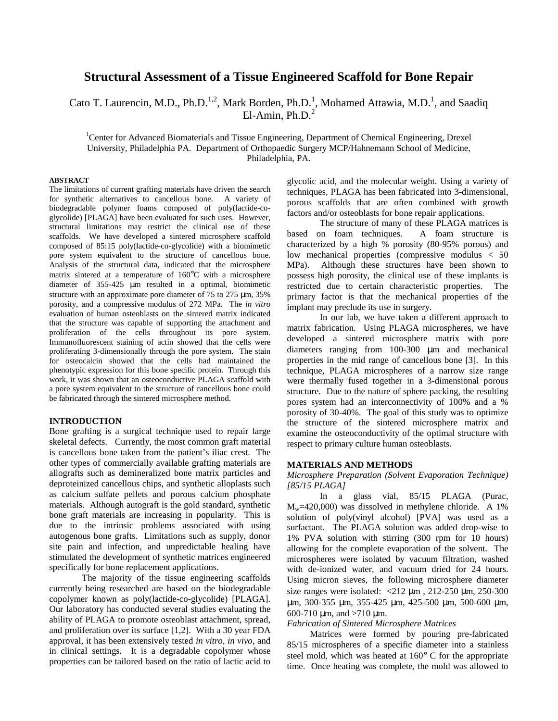# **Structural Assessment of a Tissue Engineered Scaffold for Bone Repair**

Cato T. Laurencin, M.D., Ph.D.<sup>1,2</sup>, Mark Borden, Ph.D.<sup>1</sup>, Mohamed Attawia, M.D.<sup>1</sup>, and Saadiq El-Amin, Ph.D. $<sup>2</sup>$ </sup>

<sup>1</sup>Center for Advanced Biomaterials and Tissue Engineering, Department of Chemical Engineering, Drexel University, Philadelphia PA. Department of Orthopaedic Surgery MCP/Hahnemann School of Medicine, Philadelphia, PA.

#### **ABSTRACT**

The limitations of current grafting materials have driven the search for synthetic alternatives to cancellous bone. A variety of biodegradable polymer foams composed of poly(lactide-coglycolide) [PLAGA] have been evaluated for such uses. However, structural limitations may restrict the clinical use of these scaffolds. We have developed a sintered microsphere scaffold composed of 85:15 poly(lactide-co-glycolide) with a biomimetic pore system equivalent to the structure of cancellous bone. Analysis of the structural data, indicated that the microsphere matrix sintered at a temperature of 160°C with a microsphere diameter of 355-425 µm resulted in a optimal, biomimetic structure with an approximate pore diameter of 75 to 275 µm, 35% porosity, and a compressive modulus of 272 MPa. The *in vitro* evaluation of human osteoblasts on the sintered matrix indicated that the structure was capable of supporting the attachment and proliferation of the cells throughout its pore system. Immunofluorescent staining of actin showed that the cells were proliferating 3-dimensionally through the pore system. The stain for osteocalcin showed that the cells had maintained the phenotypic expression for this bone specific protein. Through this work, it was shown that an osteoconductive PLAGA scaffold with a pore system equivalent to the structure of cancellous bone could be fabricated through the sintered microsphere method.

## **INTRODUCTION**

Bone grafting is a surgical technique used to repair large skeletal defects. Currently, the most common graft material is cancellous bone taken from the patient's iliac crest. The other types of commercially available grafting materials are allografts such as demineralized bone matrix particles and deproteinized cancellous chips, and synthetic alloplasts such as calcium sulfate pellets and porous calcium phosphate materials. Although autograft is the gold standard, synthetic bone graft materials are increasing in popularity. This is due to the intrinsic problems associated with using autogenous bone grafts. Limitations such as supply, donor site pain and infection, and unpredictable healing have stimulated the development of synthetic matrices engineered specifically for bone replacement applications.

The majority of the tissue engineering scaffolds currently being researched are based on the biodegradable copolymer known as poly(lactide-co-glycolide) [PLAGA]. Our laboratory has conducted several studies evaluating the ability of PLAGA to promote osteoblast attachment, spread, and proliferation over its surface [1,2]. With a 30 year FDA approval, it has been extensively tested *in vitro*, *in vivo*, and in clinical settings. It is a degradable copolymer whose properties can be tailored based on the ratio of lactic acid to

glycolic acid, and the molecular weight. Using a variety of techniques, PLAGA has been fabricated into 3-dimensional, porous scaffolds that are often combined with growth factors and/or osteoblasts for bone repair applications.

The structure of many of these PLAGA matrices is based on foam techniques. A foam structure is characterized by a high % porosity (80-95% porous) and low mechanical properties (compressive modulus < 50 MPa). Although these structures have been shown to possess high porosity, the clinical use of these implants is restricted due to certain characteristic properties. The primary factor is that the mechanical properties of the implant may preclude its use in surgery.

In our lab, we have taken a different approach to matrix fabrication. Using PLAGA microspheres, we have developed a sintered microsphere matrix with pore diameters ranging from 100-300 µm and mechanical properties in the mid range of cancellous bone [3]. In this technique, PLAGA microspheres of a narrow size range were thermally fused together in a 3-dimensional porous structure. Due to the nature of sphere packing, the resulting pores system had an interconnectivity of 100% and a % porosity of 30-40%. The goal of this study was to optimize the structure of the sintered microsphere matrix and examine the osteoconductivity of the optimal structure with respect to primary culture human osteoblasts.

## **MATERIALS AND METHODS**

*Microsphere Preparation (Solvent Evaporation Technique) [85/15 PLAGA]*

In a glass vial, 85/15 PLAGA (Purac,  $M_w$ =420,000) was dissolved in methylene chloride. A 1% solution of poly(vinyl alcohol) [PVA] was used as a surfactant. The PLAGA solution was added drop-wise to 1% PVA solution with stirring (300 rpm for 10 hours) allowing for the complete evaporation of the solvent. The microspheres were isolated by vacuum filtration, washed with de-ionized water, and vacuum dried for 24 hours. Using micron sieves, the following microsphere diameter size ranges were isolated: <212 µm , 212-250 µm, 250-300 µm, 300-355 µm, 355-425 µm, 425-500 µm, 500-600 µm, 600-710 µm, and >710 µm.

#### *Fabrication of Sintered Microsphere Matrices*

Matrices were formed by pouring pre-fabricated 85/15 microspheres of a specific diameter into a stainless steel mold, which was heated at 160° C for the appropriate time. Once heating was complete, the mold was allowed to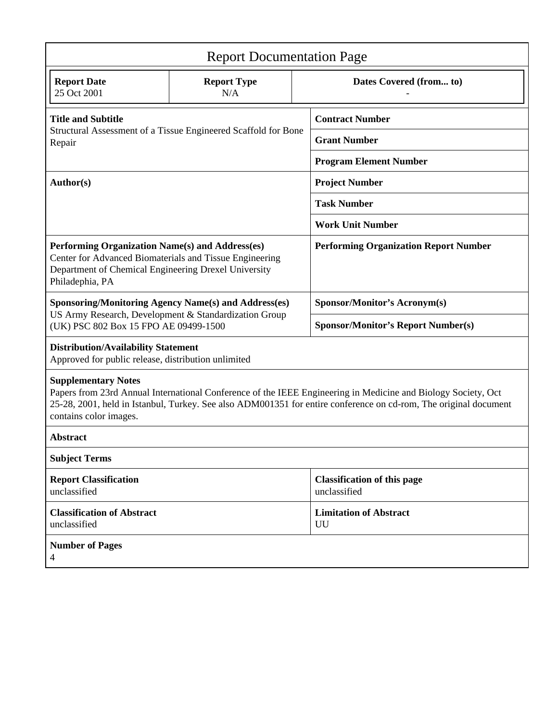| <b>Report Documentation Page</b>                                                                                                                                                                                                                                                          |                           |                         |                                                    |
|-------------------------------------------------------------------------------------------------------------------------------------------------------------------------------------------------------------------------------------------------------------------------------------------|---------------------------|-------------------------|----------------------------------------------------|
| <b>Report Date</b><br>25 Oct 2001                                                                                                                                                                                                                                                         | <b>Report Type</b><br>N/A | Dates Covered (from to) |                                                    |
| <b>Title and Subtitle</b>                                                                                                                                                                                                                                                                 |                           |                         | <b>Contract Number</b>                             |
| Structural Assessment of a Tissue Engineered Scaffold for Bone<br>Repair                                                                                                                                                                                                                  |                           |                         | <b>Grant Number</b>                                |
|                                                                                                                                                                                                                                                                                           |                           |                         | <b>Program Element Number</b>                      |
| Author(s)                                                                                                                                                                                                                                                                                 |                           |                         | <b>Project Number</b>                              |
|                                                                                                                                                                                                                                                                                           |                           |                         | <b>Task Number</b>                                 |
|                                                                                                                                                                                                                                                                                           |                           |                         | <b>Work Unit Number</b>                            |
| Performing Organization Name(s) and Address(es)<br>Center for Advanced Biomaterials and Tissue Engineering<br>Department of Chemical Engineering Drexel University<br>Philadephia, PA                                                                                                     |                           |                         | <b>Performing Organization Report Number</b>       |
| <b>Sponsoring/Monitoring Agency Name(s) and Address(es)</b><br>US Army Research, Development & Standardization Group<br>(UK) PSC 802 Box 15 FPO AE 09499-1500                                                                                                                             |                           |                         | Sponsor/Monitor's Acronym(s)                       |
|                                                                                                                                                                                                                                                                                           |                           |                         | <b>Sponsor/Monitor's Report Number(s)</b>          |
| <b>Distribution/Availability Statement</b><br>Approved for public release, distribution unlimited                                                                                                                                                                                         |                           |                         |                                                    |
| <b>Supplementary Notes</b><br>Papers from 23rd Annual International Conference of the IEEE Engineering in Medicine and Biology Society, Oct<br>25-28, 2001, held in Istanbul, Turkey. See also ADM001351 for entire conference on cd-rom, The original document<br>contains color images. |                           |                         |                                                    |
| <b>Abstract</b>                                                                                                                                                                                                                                                                           |                           |                         |                                                    |
| <b>Subject Terms</b>                                                                                                                                                                                                                                                                      |                           |                         |                                                    |
| <b>Report Classification</b><br>unclassified                                                                                                                                                                                                                                              |                           |                         | <b>Classification of this page</b><br>unclassified |
| <b>Classification of Abstract</b><br>unclassified                                                                                                                                                                                                                                         |                           |                         | <b>Limitation of Abstract</b><br>UU                |
| <b>Number of Pages</b><br>4                                                                                                                                                                                                                                                               |                           |                         |                                                    |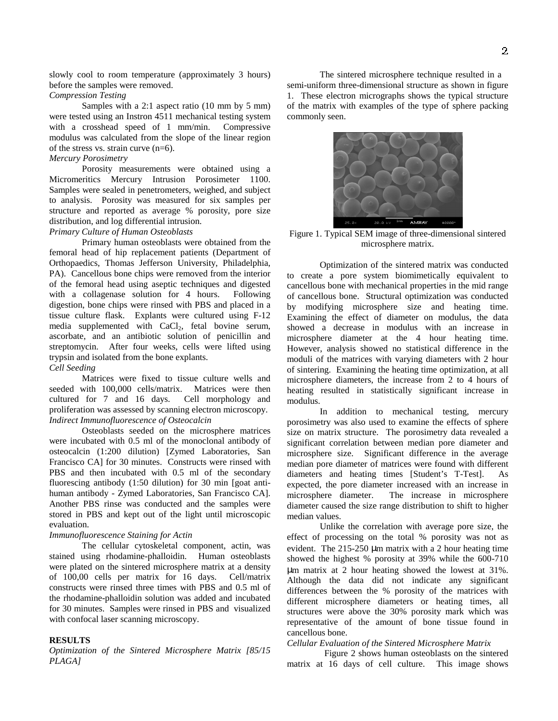slowly cool to room temperature (approximately 3 hours) before the samples were removed.

## *Compression Testing*

Samples with a 2:1 aspect ratio (10 mm by 5 mm) were tested using an Instron 4511 mechanical testing system with a crosshead speed of 1 mm/min. Compressive modulus was calculated from the slope of the linear region of the stress vs. strain curve (n=6).

## *Mercury Porosimetry*

Porosity measurements were obtained using a Micromeritics Mercury Intrusion Porosimeter 1100. Samples were sealed in penetrometers, weighed, and subject to analysis. Porosity was measured for six samples per structure and reported as average % porosity, pore size distribution, and log differential intrusion.

## *Primary Culture of Human Osteoblasts*

Primary human osteoblasts were obtained from the femoral head of hip replacement patients (Department of Orthopaedics, Thomas Jefferson University, Philadelphia, PA). Cancellous bone chips were removed from the interior of the femoral head using aseptic techniques and digested with a collagenase solution for 4 hours. Following digestion, bone chips were rinsed with PBS and placed in a tissue culture flask. Explants were cultured using F-12 media supplemented with  $CaCl<sub>2</sub>$ , fetal bovine serum, ascorbate, and an antibiotic solution of penicillin and streptomycin. After four weeks, cells were lifted using trypsin and isolated from the bone explants.

*Cell Seeding*

Matrices were fixed to tissue culture wells and seeded with 100,000 cells/matrix. Matrices were then cultured for 7 and 16 days. Cell morphology and proliferation was assessed by scanning electron microscopy. *Indirect Immunofluorescence of Osteocalcin*

Osteoblasts seeded on the microsphere matrices were incubated with 0.5 ml of the monoclonal antibody of osteocalcin (1:200 dilution) [Zymed Laboratories, San Francisco CA] for 30 minutes. Constructs were rinsed with PBS and then incubated with 0.5 ml of the secondary fluorescing antibody (1:50 dilution) for 30 min [goat antihuman antibody - Zymed Laboratories, San Francisco CA]. Another PBS rinse was conducted and the samples were stored in PBS and kept out of the light until microscopic evaluation.

#### *Immunofluorescence Staining for Actin*

The cellular cytoskeletal component, actin, was stained using rhodamine-phalloidin. Human osteoblasts were plated on the sintered microsphere matrix at a density of 100,00 cells per matrix for 16 days. Cell/matrix constructs were rinsed three times with PBS and 0.5 ml of the rhodamine-phalloidin solution was added and incubated for 30 minutes. Samples were rinsed in PBS and visualized with confocal laser scanning microscopy.

## **RESULTS**

*Optimization of the Sintered Microsphere Matrix [85/15 PLAGA]*

The sintered microsphere technique resulted in a semi-uniform three-dimensional structure as shown in figure 1. These electron micrographs shows the typical structure of the matrix with examples of the type of sphere packing commonly seen.



Figure 1. Typical SEM image of three-dimensional sintered microsphere matrix.

Optimization of the sintered matrix was conducted to create a pore system biomimetically equivalent to cancellous bone with mechanical properties in the mid range of cancellous bone. Structural optimization was conducted by modifying microsphere size and heating time. Examining the effect of diameter on modulus, the data showed a decrease in modulus with an increase in microsphere diameter at the 4 hour heating time. However, analysis showed no statistical difference in the moduli of the matrices with varying diameters with 2 hour of sintering. Examining the heating time optimization, at all microsphere diameters, the increase from 2 to 4 hours of heating resulted in statistically significant increase in modulus.

In addition to mechanical testing, mercury porosimetry was also used to examine the effects of sphere size on matrix structure. The porosimetry data revealed a significant correlation between median pore diameter and microsphere size. Significant difference in the average median pore diameter of matrices were found with different diameters and heating times [Student's T-Test]. As expected, the pore diameter increased with an increase in microsphere diameter. The increase in microsphere diameter caused the size range distribution to shift to higher median values.

Unlike the correlation with average pore size, the effect of processing on the total % porosity was not as evident. The 215-250 µm matrix with a 2 hour heating time showed the highest % porosity at 39% while the 600-710 µm matrix at 2 hour heating showed the lowest at 31%. Although the data did not indicate any significant differences between the % porosity of the matrices with different microsphere diameters or heating times, all structures were above the 30% porosity mark which was representative of the amount of bone tissue found in cancellous bone.

## *Cellular Evaluation of the Sintered Microsphere Matrix*

 Figure 2 shows human osteoblasts on the sintered matrix at 16 days of cell culture. This image shows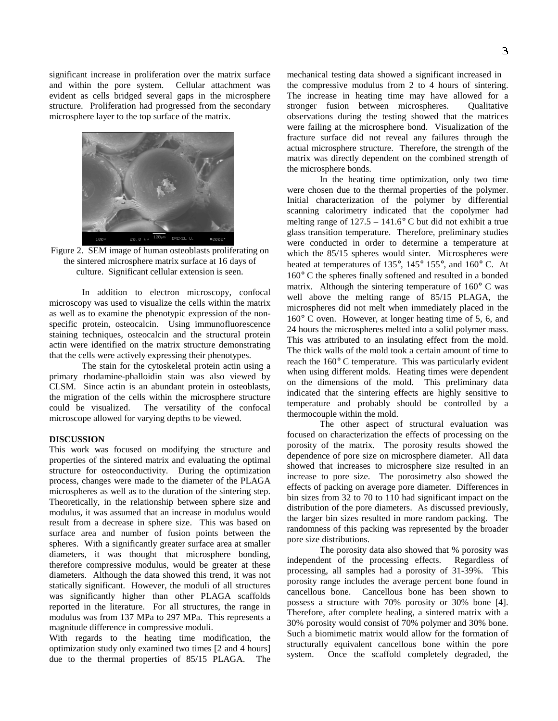significant increase in proliferation over the matrix surface and within the pore system. Cellular attachment was evident as cells bridged several gaps in the microsphere structure. Proliferation had progressed from the secondary microsphere layer to the top surface of the matrix.



Figure 2. SEM image of human osteoblasts proliferating on the sintered microsphere matrix surface at 16 days of culture. Significant cellular extension is seen.

In addition to electron microscopy, confocal microscopy was used to visualize the cells within the matrix as well as to examine the phenotypic expression of the nonspecific protein, osteocalcin. Using immunofluorescence staining techniques, osteocalcin and the structural protein actin were identified on the matrix structure demonstrating that the cells were actively expressing their phenotypes.

The stain for the cytoskeletal protein actin using a primary rhodamine-phalloidin stain was also viewed by CLSM. Since actin is an abundant protein in osteoblasts, the migration of the cells within the microsphere structure could be visualized. The versatility of the confocal microscope allowed for varying depths to be viewed.

#### **DISCUSSION**

This work was focused on modifying the structure and properties of the sintered matrix and evaluating the optimal structure for osteoconductivity. During the optimization process, changes were made to the diameter of the PLAGA microspheres as well as to the duration of the sintering step. Theoretically, in the relationship between sphere size and modulus, it was assumed that an increase in modulus would result from a decrease in sphere size. This was based on surface area and number of fusion points between the spheres. With a significantly greater surface area at smaller diameters, it was thought that microsphere bonding, therefore compressive modulus, would be greater at these diameters. Although the data showed this trend, it was not statically significant. However, the moduli of all structures was significantly higher than other PLAGA scaffolds reported in the literature. For all structures, the range in modulus was from 137 MPa to 297 MPa. This represents a magnitude difference in compressive moduli.

With regards to the heating time modification, the optimization study only examined two times [2 and 4 hours] due to the thermal properties of 85/15 PLAGA. The

mechanical testing data showed a significant increased in the compressive modulus from 2 to 4 hours of sintering. The increase in heating time may have allowed for a stronger fusion between microspheres. Qualitative observations during the testing showed that the matrices were failing at the microsphere bond. Visualization of the fracture surface did not reveal any failures through the actual microsphere structure. Therefore, the strength of the matrix was directly dependent on the combined strength of the microsphere bonds.

In the heating time optimization, only two time were chosen due to the thermal properties of the polymer. Initial characterization of the polymer by differential scanning calorimetry indicated that the copolymer had melting range of  $127.5 - 141.6^{\circ}$  C but did not exhibit a true glass transition temperature. Therefore, preliminary studies were conducted in order to determine a temperature at which the 85/15 spheres would sinter. Microspheres were heated at temperatures of 135°, 145° 155°, and 160° C. At 160° C the spheres finally softened and resulted in a bonded matrix. Although the sintering temperature of 160° C was well above the melting range of 85/15 PLAGA, the microspheres did not melt when immediately placed in the 160° C oven. However, at longer heating time of 5, 6, and 24 hours the microspheres melted into a solid polymer mass. This was attributed to an insulating effect from the mold. The thick walls of the mold took a certain amount of time to reach the 160° C temperature. This was particularly evident when using different molds. Heating times were dependent on the dimensions of the mold. This preliminary data indicated that the sintering effects are highly sensitive to temperature and probably should be controlled by a thermocouple within the mold.

The other aspect of structural evaluation was focused on characterization the effects of processing on the porosity of the matrix. The porosity results showed the dependence of pore size on microsphere diameter. All data showed that increases to microsphere size resulted in an increase to pore size. The porosimetry also showed the effects of packing on average pore diameter. Differences in bin sizes from 32 to 70 to 110 had significant impact on the distribution of the pore diameters. As discussed previously, the larger bin sizes resulted in more random packing. The randomness of this packing was represented by the broader pore size distributions.

The porosity data also showed that % porosity was independent of the processing effects. Regardless of processing, all samples had a porosity of 31-39%. This porosity range includes the average percent bone found in cancellous bone. Cancellous bone has been shown to possess a structure with 70% porosity or 30% bone [4]. Therefore, after complete healing, a sintered matrix with a 30% porosity would consist of 70% polymer and 30% bone. Such a biomimetic matrix would allow for the formation of structurally equivalent cancellous bone within the pore system. Once the scaffold completely degraded, the